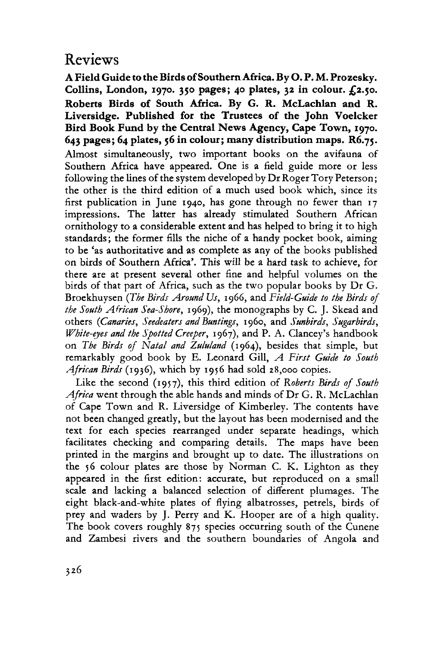## Reviews

**A Field Guide to the Birds of Southern Africa. By O. P. M. Prozesky. Collins, London, 1970. 350 pages; 40 plates, 32 in colour. £2.50. Roberts Birds of South Africa. By G. R. McLachlan and R. Liversidge. Published for the Trustees of the John Voelcker Bird Book Fund by the Central New s Agency, Cape Town, 1970. 643 pages; 64 plates, 56 in colour; many distribution maps. R6.75.**  Almost simultaneously, two important books on the avifauna of Southern Africa have appeared. One is a field guide more or less following the lines of the system developed by Dr Roger Tory Peterson; the other is the third edition of a much used book which, since its first publication in June 1940, has gone through no fewer than 17 impressions. The latter has already stimulated Southern African ornithology to a considerable extent and has helped to bring it to high standards; the former fills the niche of a handy pocket book, aiming to be 'as authoritative and as complete as any of the books published on birds of Southern Africa'. This will be a hard task to achieve, for there are at present several other fine and helpful volumes on the birds of that part of Africa, such as the two popular books by Dr G. Broekhuysen *(The Birds Around Us,* 1966, and *Field-Guide to the Birds of the South African Sea-Shore,* 1969), the monographs by C. J. Skead and others *(Canaries, Seedeaters and Buntings,* 1960, and *Sunbirds, Sugarbirds, White-eyes and the Spotted Creeper,* 1967), and P. A. Clancey's handbook on *The Birds of Natal and Zululand* (1964), besides that simple, but remarkably good book by E. Leonard Gill, *A First Guide to South African Birds* (1936), which by 1956 had sold 28,000 copies.

Like the second (1957), this third edition of *Roberts Birds of South Africa* went through the able hands and minds of Dr G. R. McLachlan of Cape Town and R. Liversidge of Kimberley. The contents have not been changed greatly, but the layout has been modernised and the text for each species rearranged under separate headings, which facilitates checking and comparing details. The maps have been printed in the margins and brought up to date. The illustrations on the 56 colour plates are those by Norman C. K. Lighton as they appeared in the first edition: accurate, but reproduced on a small scale and lacking a balanced selection of different plumages. The eight black-and-white plates of flying albatrosses, petrels, birds of prey and waders by J. Perry and K. Hooper are of a high quality. The book covers roughly 875 species occurring south of the Cunene and Zambesi rivers and the southern boundaries of Angola and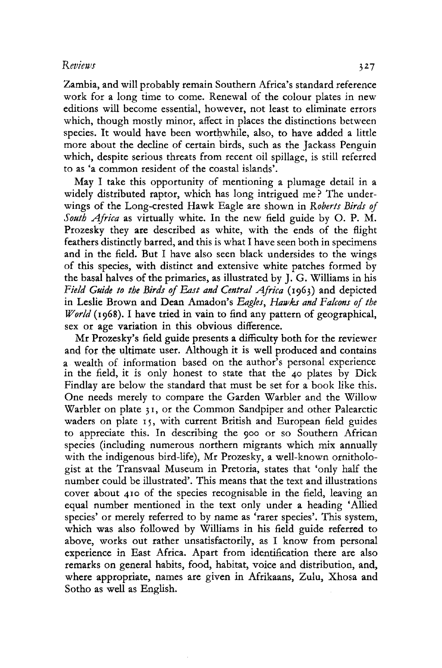## *Reviews* 327

Zambia, and will probably remain Southern Africa's standard reference work for a long time to come. Renewal of the colour plates in new editions will become essential, however, not least to eliminate errors which, though mostly minor, affect in places the distinctions between species. It would have been worthwhile, also, to have added a little more about the decline of certain birds, such as the Jackass Penguin which, despite serious threats from recent oil spillage, is still referred to as 'a common resident of the coastal islands'.

May I take this opportunity of mentioning a plumage detail in a widely distributed raptor, which has long intrigued me? The underwings of the Long-crested Hawk Eagle are shown in *Roberts Birds of South Africa* as virtually white. In the new field guide by O. P. M. Prozesky they are described as white, with the ends of the flight feathers distinctly barred, and this is what I have seen both in specimens and in the field. But I have also seen black undersides to the wings of this species, with distinct and extensive white patches formed by the basal halves of the primaries, as illustrated by J. G. Williams in his *Yield Guide to the Birds of East and Central Africa* (1963) and depicted in Leslie Brown and Dean Amadon's *Eagles, Hawks and Falcons of the World* (1968). I have tried in vain to find any pattern of geographical, sex or age variation in this obvious difference.

Mr Prozesky's field guide presents a difficulty both for the reviewer and for the ultimate user. Although it is well produced and contains a wealth of information based on the author's personal experience in the field, it is only honest to state that the 40 plates by Dick Findlay are below the standard that must be set for a book like this. One needs merely to compare the Garden Warbler and the Willow Warbler on plate 31, or the Common Sandpiper and other Palearctic waders on plate 15, with current British and European field guides to appreciate this. In describing the 900 or so Southern African species (including numerous northern migrants which mix annually with the indigenous bird-life), Mr Prozesky, a well-known ornithologist at the Transvaal Museum in Pretoria, states that 'only half the number could be illustrated'. This means that the text and illustrations cover about 410 of the species recognisable in the field, leaving an equal number mentioned in the text only under a heading 'Allied species' or merely referred to by name as 'rarer species'. This system, which was also followed by Williams in his field guide referred to above, works out rather unsatisfactorily, as I know from personal experience in East Africa. Apart from identification there are also remarks on general habits, food, habitat, voice and distribution, and, where appropriate, names are given in Afrikaans, Zulu, Xhosa and Sotho as well as English.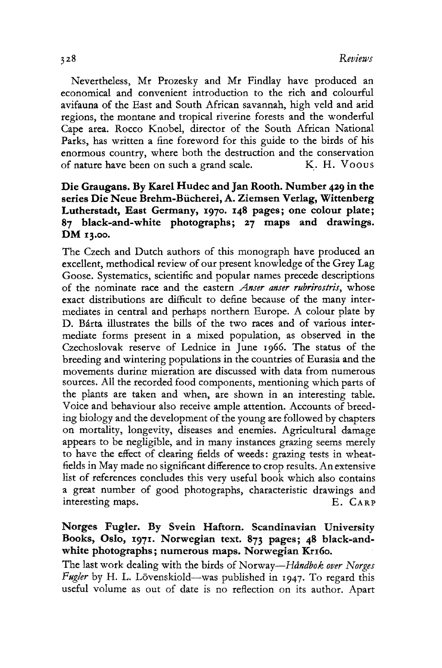Nevertheless, Mr Prozesky and Mr Findlay have produced an economical and convenient introduction to the rich and colourful avifauna of the East and South African savannah, high veld and arid regions, the montane and tropical riverine forests and the wonderful Cape area. Rocco Knobel, director of the South African National Parks, has written a fine foreword for this guide to the birds of his enormous country, where both the destruction and the conservation of nature have been on such a grand scale. K. H. Voous

## **Die Graugans. By Karel Hudec and Jan Rooth. Number 429 in the series Die Neue Brehm-Biicherei, A. Ziemsen Verlag, Wittenberg Lutherstadt, East Germany, 1970. 148 pages; one colour plate; 87 black-and-white photographs; 27 maps and drawings. DM 13.00.**

The Czech and Dutch authors of this monograph have produced an excellent, methodical review of our present knowledge of the Grey Lag Goose. Systematics, scientific and popular names precede descriptions of the nominate race and the eastern *Anser anser rubrirostris,* whose exact distributions are difficult to define because of the many intermediates in central and perhaps northern Europe. A colour plate by D. Barta illustrates the bills of the two races and of various intermediate forms present in a mixed population, as observed in the Czechoslovak reserve of Lednice in June 1966. The status of the breeding and wintering populations in the countries of Eurasia and the movements during migration are discussed with data from numerous sources. All the recorded food components, mentioning which parts of the plants are taken and when, are shown in an interesting table. Voice and behaviour also receive ample attention. Accounts of breeding biology and the development of the young are followed by chapters on mortality, longevity, diseases and enemies. Agricultural damage appears to be negligible, and in many instances grazing seems merely to have the effect of clearing fields of weeds: grazing tests in wheatfields in May made no significant difference to crop results. An extensive list of references concludes this very useful book which also contains a great number of good photographs, characteristic drawings and interesting maps. E. CARP

## Norges Fugler, By Svein Haftorn. Scandinavian University Books, Oslo, 1971. Norwegian text. 873 pages; **48** black-andwhite photographs; numerous maps. Norwegian Kr160,

The last work dealing with the birds of Norway—*Håndbok over Norges*  Fugler by H. L. Lövenskiold—was published in 1947. To regard this useful volume as out of date is no reflection on its author. Apart